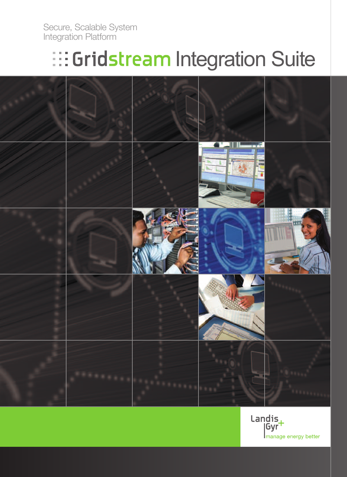Secure, Scalable System Integration Platform

# **Integration Suite**



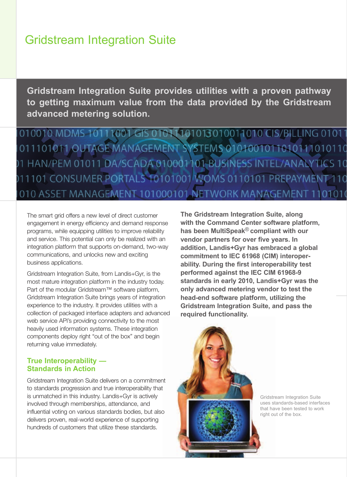### Gridstream Integration Suite

**Gridstream Integration Suite provides utilities with a proven pathway to getting maximum value from the data provided by the Gridstream advanced metering solution.**

010010 MDMS 10111001 GIS 01011101013010011010 CIS/BILLING 01011 011101011.OUTAGE MANAGEMENT SYSTEMS 0101001011010111010110 1 HAN/PEM 01011 DA/SCADA 010001101-BUSINESS INTEL/ANALYTICS 10 011101 CONSUMER PORTALS 10101001 WOMS 0110101 PREPAYMENT 110 010 ASSET MANAGEMENT 101000101 NETWORK MANAGEMENT 1101010

The smart grid offers a new level of direct customer engagement in energy efficiency and demand response programs, while equipping utilities to improve reliability and service. This potential can only be realized with an integration platform that supports on-demand, two-way communications, and unlocks new and exciting business applications.

Gridstream Integration Suite, from Landis+Gyr, is the most mature integration platform in the industry today. Part of the modular Gridstream™ software platform, Gridstream Integration Suite brings years of integration experience to the industry. It provides utilities with a collection of packaged interface adapters and advanced web service API's providing connectivity to the most heavily used information systems. These integration components deploy right "out of the box" and begin returning value immediately.

#### **True Interoperability — Standards in Action**

Gridstream Integration Suite delivers on a commitment to standards progression and true interoperability that is unmatched in this industry. Landis+Gyr is actively involved through memberships, attendance, and influential voting on various standards bodies, but also delivers proven, real-world experience of supporting hundreds of customers that utilize these standards.

**The Gridstream Integration Suite, along with the Command Center software platform, has been MultiSpeak**® **compliant with our vendor partners for over five years. In addition, Landis+Gyr has embraced a global commitment to IEC 61968 (CIM) interoperability. During the first interoperability test performed against the IEC CIM 61968-9 standards in early 2010, Landis+Gyr was the only advanced metering vendor to test the head-end software platform, utilizing the Gridstream Integration Suite, and pass the required functionality.**



Gridstream Integration Suite uses standards-based interfaces that have been tested to work right out of the box.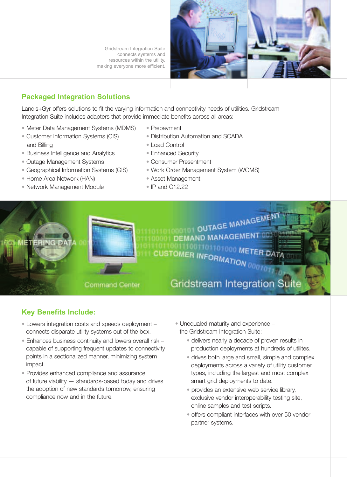Gridstream Integration Suite connects systems and resources within the utility, making everyone more efficient.



#### **Packaged Integration Solutions**

Landis+Gyr offers solutions to fit the varying information and connectivity needs of utilities. Gridstream Integration Suite includes adapters that provide immediate benefits across all areas:

- Meter Data Management Systems (MDMS)
- Customer Information Systems (CIS) and Billing
- Business Intelligence and Analytics
- Outage Management Systems
- Geographical Information Systems (GIS)
- Home Area Network (HAN)
- Network Management Module
- Prepayment
- Distribution Automation and SCADA
- Load Control
- Enhanced Security
- Consumer Presentment
- Work Order Management System (WOMS)
- Asset Management
- IP and C12.22



#### **Key Benefits Include:**

- Lowers integration costs and speeds deployment connects disparate utility systems out of the box.
- Enhances business continuity and lowers overall risk capable of supporting frequent updates to connectivity points in a sectionalized manner, minimizing system impact.
- Provides enhanced compliance and assurance of future viability — standards-based today and drives the adoption of new standards tomorrow, ensuring compliance now and in the future.
- Unequaled maturity and experience the Gridstream Integration Suite:
	- delivers nearly a decade of proven results in production deployments at hundreds of utilites.
	- drives both large and small, simple and complex deployments across a variety of utility customer types, including the largest and most complex smart grid deployments to date.
	- provides an extensive web service library, exclusive vendor interoperability testing site, online samples and test scripts.
	- offers compliant interfaces with over 50 vendor partner systems.